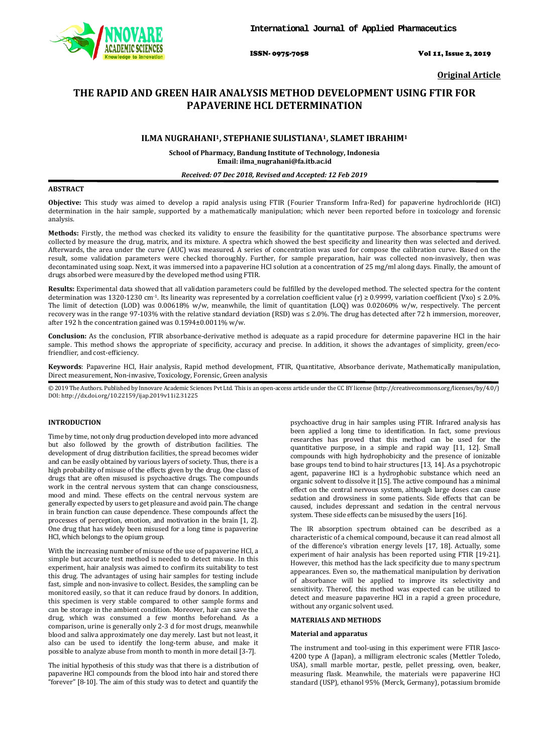

ISSN- 0975-7058 Vol 11, Issue 2, 2019

**Original Article**

# **THE RAPID AND GREEN HAIR ANALYSIS METHOD DEVELOPMENT USING FTIR FOR PAPAVERINE HCL DETERMINATION**

# **ILMA NUGRAHANI1, STEPHANIE SULISTIANA1, SLAMET IBRAHIM 1**

**School of Pharmacy, Bandung Institute of Technology, Indonesia Email: ilma\_nugrahani@fa.itb.ac.id**

### *Received: 07 Dec 2018, Revised and Accepted: 12 Feb 2019*

### **ABSTRACT**

**Objective:** This study was aimed to develop a rapid analysis using FTIR (Fourier Transform Infra-Red) for papaverine hydrochloride (HCl) determination in the hair sample, supported by a mathematically manipulation; which never been reported before in toxicology and forensic analysis.

**Methods:** Firstly, the method was checked its validity to ensure the feasibility for the quantitative purpose. The absorbance spectrums were collected by measure the drug, matrix, and its mixture. A spectra which showed the best specificity and linearity then was selected and derived. Afterwards, the area under the curve (AUC) was measured. A series of concentration was used for compose the calibration curve. Based on the result, some validation parameters were checked thoroughly. Further, for sample preparation, hair was collected non-invasively, then was decontaminated using soap. Next, it was immersed into a papaverine HCl solution at a concentration of 25 mg/ml along days. Finally, the amount of drugs absorbed were measured by the developed method using FTIR.

**Results:** Experimental data showed that all validation parameters could be fulfilled by the developed method. The selected spectra for the content determination was 1320-1230 cm<sup>-1</sup>. Its linearity was represented by a correlation coefficient value (r) ≥ 0.9999, variation coefficient (Vxo) ≤ 2.0%. The limit of detection (LOD) was 0.00618% w/w, meanwhile, the limit of quantitation (LOQ) was 0.02060% w/w, respectively. The percent recovery was in the range 97-103% with the relative standard deviation (RSD) was ≤ 2.0%. The drug has detected after 72 h immersion, moreover, after 192 h the concentration gained was 0.1594±0.0011% w/w.

**Conclusion:** As the conclusion, FTIR absorbance-derivative method is adequate as a rapid procedure for determine papaverine HCl in the hair sample. This method shows the appropriate of specificity, accuracy and precise. In addition, it shows the advantages of simplicity, green/ecofriendlier, and cost-efficiency.

**Keywords**: Papaverine HCl, Hair analysis, Rapid method development, FTIR, Quantitative, Absorbance derivate, Mathematically manipulation, Direct measurement, Non-invasive, Toxicology, Forensic, Green analysis

© 2019 The Authors. Published by Innovare Academic Sciences Pvt Ltd. This is an open-access article under the CC BY license (<http://creativecommons.org/licenses/by/4.0/>) DOI: http://dx.doi.org/10.22159/ijap.2019v11i2.31225

# **INTRODUCTION**

Time by time, not only drug production developed into more advanced but also followed by the growth of distribution facilities. The development of drug distribution facilities, the spread becomes wider and can be easily obtained by various layers of society. Thus, there is a high probability of misuse of the effects given by the drug. One class of drugs that are often misused is psychoactive drugs. The compounds work in the central nervous system that can change consciousness, mood and mind. These effects on the central nervous system are generally expected by users to get pleasure and avoid pain. The change in brain function can cause dependence. These compounds affect the processes of perception, emotion, and motivation in the brain [1, 2]. One drug that has widely been misused for a long time is papaverine HCl, which belongs to the opium group.

With the increasing number of misuse of the use of papaverine HCl, a simple but accurate test method is needed to detect misuse. In this experiment, hair analysis was aimed to confirm its suitability to test this drug. The advantages of using hair samples for testing include fast, simple and non-invasive to collect. Besides, the sampling can be monitored easily, so that it can reduce fraud by donors. In addition, this specimen is very stable compared to other sample forms and can be storage in the ambient condition. Moreover, hair can save the drug, which was consumed a few months beforehand. As a comparison, urine is generally only 2-3 d for most drugs, meanwhile blood and saliva approximately one day merely. Last but not least, it also can be used to identify the long-term abuse, and make it possible to analyze abuse from month to month in more detail [3-7].

The initial hypothesis of this study was that there is a distribution of papaverine HCl compounds from the blood into hair and stored there "forever" [8-10]. The aim of this study was to detect and quantify the

psychoactive drug in hair samples using FTIR. Infrared analysis has been applied a long time to identification. In fact, some previous researches has proved that this method can be used for the quantitative purpose, in a simple and rapid way [11, 12]. Small compounds with high hydrophobicity and the presence of ionizable base groups tend to bind to hair structures [13, 14]. As a psychotropic agent, papaverine HCl is a hydrophobic substance which need an organic solvent to dissolve it [15]. The active compound has a minimal effect on the central nervous system, although large doses can cause sedation and drowsiness in some patients. Side effects that can be caused, includes depressant and sedation in the central nervous system. These side effects can be misused by the users [16].

The IR absorption spectrum obtained can be described as a characteristic of a chemical compound, because it can read almost all of the difference's vibration energy levels [17, 18]. Actually, some experiment of hair analysis has been reported using FTIR [19-21]. However, this method has the lack specificity due to many spectrum appearances. Even so, the mathematical manipulation by derivation of absorbance will be applied to improve its selectivity and sensitivity. Thereof, this method was expected can be utilized to detect and measure papaverine HCl in a rapid a green procedure, without any organic solvent used.

# **MATERIALS AND METHODS**

#### **Material and apparatus**

The instrument and tool-using in this experiment were FTIR Jasco-4200 type A (Japan), a milligram electronic scales (Mettler Toledo, USA), small marble mortar, pestle, pellet pressing, oven, beaker, measuring flask. Meanwhile, the materials were papaverine HCl standard (USP), ethanol 95% (Merck, Germany), potassium bromide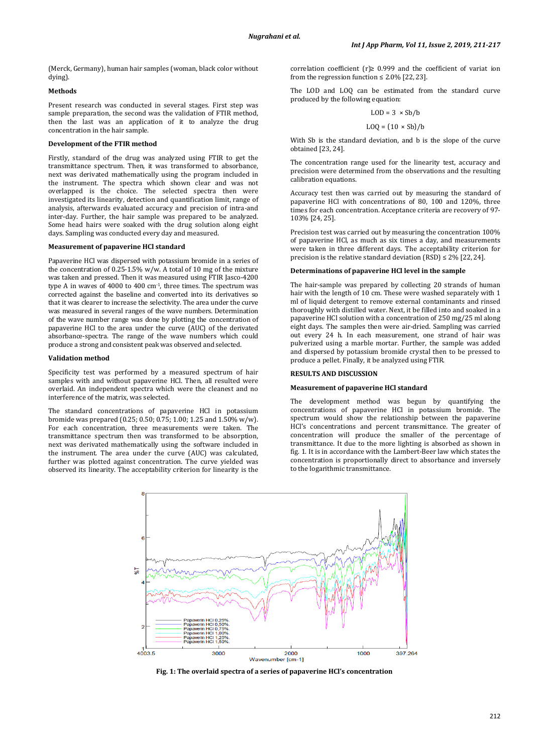(Merck, Germany), human hair samples (woman, black color without dying).

### **Methods**

Present research was conducted in several stages. First step was sample preparation, the second was the validation of FTIR method, then the last was an application of it to analyze the drug concentration in the hair sample.

# **Development of the FTIR method**

Firstly, standard of the drug was analyzed using FTIR to get the transmittance spectrum. Then, it was transformed to absorbance, next was derivated mathematically using the program included in the instrument. The spectra which shown clear and was not overlapped is the choice. The selected spectra then were investigated its linearity, detection and quantification limit, range of analysis, afterwards evaluated accuracy and precision of intra-and inter-day. Further, the hair sample was prepared to be analyzed. Some head hairs were soaked with the drug solution along eight days. Sampling was conducted every day and measured.

#### **Measurement of papaverine HCl standard**

Papaverine HCl was dispersed with potassium bromide in a series of the concentration of 0.25-1.5% w/w. A total of 10 mg of the mixture was taken and pressed. Then it was measured using FTIR Jasco-4200 type A in waves of 4000 to 400 cm-1 , three times. The spectrum was corrected against the baseline and converted into its derivatives so that it was clearer to increase the selectivity. The area under the curve was measured in several ranges of the wave numbers. Determination of the wave number range was done by plotting the concentration of papaverine HCl to the area under the curve (AUC) of the derivated absorbance-spectra. The range of the wave numbers which could produce a strong and consistent peak was observed and selected.

#### **Validation method**

Specificity test was performed by a measured spectrum of hair samples with and without papaverine HCl. Then, all resulted were overlaid. An independent spectra which were the cleanest and no interference of the matrix, was selected.

The standard concentrations of papaverine HCl in potassium bromide was prepared (0.25; 0.50; 0.75; 1.00; 1.25 and 1.50% w/w). For each concentration, three measurements were taken. The transmittance spectrum then was transformed to be absorption, next was derivated mathematically using the software included in the instrument. The area under the curve (AUC) was calculated, further was plotted against concentration. The curve yielded was observed its linearity. The acceptability criterion for linearity is the correlation coefficient (r) $\geq$  0.999 and the coefficient of variat ion from the regression function  $\leq 2.0\%$  [22, 23].

The LOD and LOQ can be estimated from the standard curve produced by the following equation:

$$
LOD = 3 \times Sb/b
$$

$$
LOQ = (10 \times Sb)/b
$$

With Sb is the standard deviation, and b is the slope of the curve obtained [23, 24].

The concentration range used for the linearity test, accuracy and precision were determined from the observations and the resulting calibration equations.

Accuracy test then was carried out by measuring the standard of papaverine HCl with concentrations of 80, 100 and 120%, three times for each concentration. Acceptance criteria are recovery of 97- 103% [24, 25].

Precision test was carried out by measuring the concentration 100% of papaverine HCl, as much as six times a day, and measurements were taken in three different days. The acceptability criterion for precision is the relative standard deviation  $(RSD) \le 2\%$  [22, 24].

### **Determinations of papaverine HCl level in the sample**

The hair-sample was prepared by collecting 20 strands of human hair with the length of 10 cm. These were washed separately with 1 ml of liquid detergent to remove external contaminants and rinsed thoroughly with distilled water. Next, it be filled into and soaked in a papaverine HCl solution with a concentration of 250 mg/25 ml along eight days. The samples then were air-dried. Sampling was carried out every 24 h. In each measurement, one strand of hair was pulverized using a marble mortar. Further, the sample was added and dispersed by potassium bromide crystal then to be pressed to produce a pellet. Finally, it be analyzed using FTIR.

#### **RESULTS AND DISCUSSION**

#### **Measurement of papaverine HCl standard**

The development method was begun by quantifying the concentrations of papaverine HCl in potassium bromide. The spectrum would show the relationship between the papaverine HCl's concentrations and percent transmittance. The greater of concentration will produce the smaller of the percentage of transmittance. It due to the more lighting is absorbed as shown in fig. 1. It is in accordance with the Lambert-Beer law which states the concentration is proportionally direct to absorbance and inversely to the logarithmic transmittance.



**Fig. 1: The overlaid spectra of a series of papaverine HCl's concentration**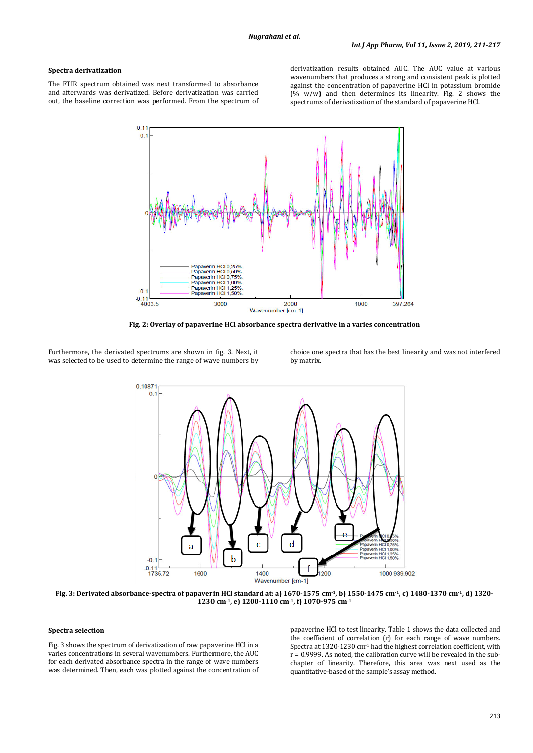## **Spectra derivatization**

The FTIR spectrum obtained was next transformed to absorbance and afterwards was derivatized. Before derivatization was carried out, the baseline correction was performed. From the spectrum of derivatization results obtained AUC. The AUC value at various wavenumbers that produces a strong and consistent peak is plotted against the concentration of papaverine HCl in potassium bromide (% w/w) and then determines its linearity. Fig. 2 shows the spectrums of derivatization of the standard of papaverine HCl.



**Fig. 2: Overlay of papaverine HCl absorbance spectra derivative in a varies concentration**

Furthermore, the derivated spectrums are shown in fig. 3. Next, it was selected to be used to determine the range of wave numbers by

choice one spectra that has the best linearity and was not interfered by matrix.



**Fig. 3: Derivated absorbance-spectra of papaverin HCl standard at: a) 1670-1575 cm-1, b) 1550-1475 cm-1, c) 1480-1370 cm-1, d) 1320- 1230 cm-1, e) 1200-1110 cm-1, f) 1070-975 cm -1**

# **Spectra selection**

Fig. 3 shows the spectrum of derivatization of raw papaverine HCl in a varies concentrations in several wavenumbers. Furthermore, the AUC for each derivated absorbance spectra in the range of wave numbers was determined. Then, each was plotted against the concentration of papaverine HCl to test linearity. Table 1 shows the data collected and the coefficient of correlation (r) for each range of wave numbers. Spectra at 1320-1230 cm<sup>-1</sup> had the highest correlation coefficient, with  $r = 0.9999$ . As noted, the calibration curve will be revealed in the subchapter of linearity. Therefore, this area was next used as the quantitative-based of the sample's assay method.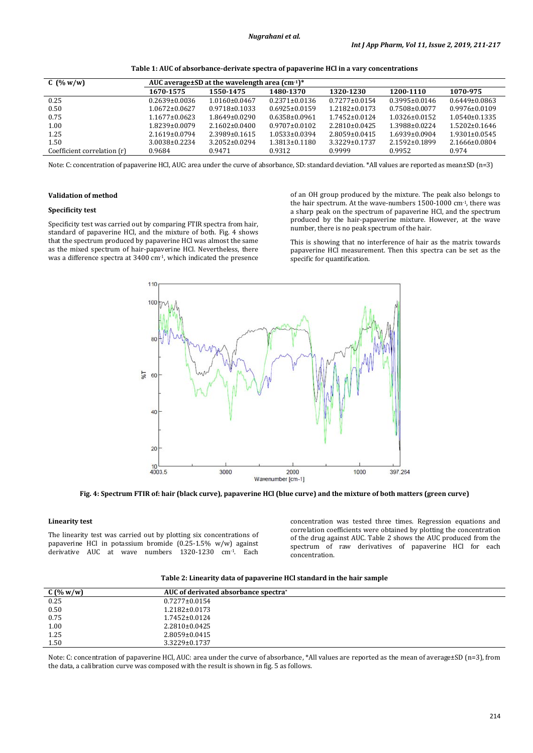| $C(y_0 w/w)$                | AUC average $\pm$ SD at the wavelength area (cm <sup>-1)*</sup> |                     |                     |                     |                     |                     |
|-----------------------------|-----------------------------------------------------------------|---------------------|---------------------|---------------------|---------------------|---------------------|
|                             | 1670-1575                                                       | 1550-1475           | 1480-1370           | 1320-1230           | 1200-1110           | 1070-975            |
| 0.25                        | $0.2639 \pm 0.0036$                                             | $1.0160 \pm 0.0467$ | $0.2371 \pm 0.0136$ | $0.7277 \pm 0.0154$ | $0.3995 \pm 0.0146$ | $0.6449 \pm 0.0863$ |
| 0.50                        | $1.0672 \pm 0.0627$                                             | $0.9718 \pm 0.1033$ | $0.6925 \pm 0.0159$ | $1.2182 \pm 0.0173$ | $0.7508 \pm 0.0077$ | $0.9976 \pm 0.0109$ |
| 0.75                        | $1.1677 \pm 0.0623$                                             | $1.8649 \pm 0.0290$ | $0.6358\pm0.0961$   | $1.7452 \pm 0.0124$ | $1.0326 \pm 0.0152$ | $1.0540 \pm 0.1335$ |
| 1.00                        | 1.8239±0.0079                                                   | $2.1602 \pm 0.0400$ | $0.9707 \pm 0.0102$ | $2.2810\pm0.0425$   | 1.3988±0.0224       | $1.5202 \pm 0.1646$ |
| 1.25                        | $2.1619 \pm 0.0794$                                             | 2.3989±0.1615       | $1.0533 \pm 0.0394$ | $2.8059 \pm 0.0415$ | 1.6939±0.0904       | $1.9301 \pm 0.0545$ |
| 1.50                        | 3.0038±0.2234                                                   | $3.2052 \pm 0.0294$ | $1.3813 \pm 0.1180$ | $3.3229 \pm 0.1737$ | $2.1592 \pm 0.1899$ | 2.1666±0.0804       |
| Coefficient correlation (r) | 0.9684                                                          | 0.9471              | 0.9312              | 0.9999              | 0.9952              | 0.974               |

**Table 1: AUC of absorbance-derivate spectra of papaverine HCl in a vary concentrations**

Note: C: concentration of papaverine HCl, AUC: area under the curve of absorbance, SD: standard deviation. \*All values are reported as mean±SD (n=3)

### **Validation of method**

# **Specificity test**

Specificity test was carried out by comparing FTIR spectra from hair, standard of papaverine HCl, and the mixture of both. Fig. 4 shows that the spectrum produced by papaverine HCl was almost the same as the mixed spectrum of hair-papaverine HCl. Nevertheless, there was a difference spectra at 3400 cm-1, which indicated the presence of an OH group produced by the mixture. The peak also belongs to the hair spectrum. At the wave-numbers 1500-1000 cm-1 , there was a sharp peak on the spectrum of papaverine HCl, and the spectrum produced by the hair-papaverine mixture. However, at the wave number, there is no peak spectrum of the hair.

This is showing that no interference of hair as the matrix towards papaverine HCl measurement. Then this spectra can be set as the specific for quantification.



**Fig. 4: Spectrum FTIR of: hair (black curve), papaverine HCl (blue curve) and the mixture of both matters (green curve)**

#### **Linearity test**

The linearity test was carried out by plotting six concentrations of papaverine HCl in potassium bromide (0.25-1.5% w/w) against derivative AUC at wave numbers 1320-1230 cm-1. Each

concentration was tested three times. Regression equations and correlation coefficients were obtained by plotting the concentration of the drug against AUC. Table 2 shows the AUC produced from the spectrum of raw derivatives of papaverine HCl for each concentration.

**Table 2: Linearity data of papaverine HCl standard in the hair sample**

| $C($ % w/w) | AUC of derivated absorbance spectra <sup>*</sup> |
|-------------|--------------------------------------------------|
| 0.25        | $0.7277 \pm 0.0154$                              |
| 0.50        | $1.2182 \pm 0.0173$                              |
| 0.75        | $1.7452 \pm 0.0124$                              |
| 1.00        | $2.2810\pm0.0425$                                |
| 1.25        | $2.8059 \pm 0.0415$                              |
| 1.50        | 3.3229±0.1737                                    |

Note: C: concentration of papaverine HCl, AUC: area under the curve of absorbance, \*All values are reported as the mean of average±SD (n=3), from the data, a calibration curve was composed with the result is shown in fig. 5 as follows.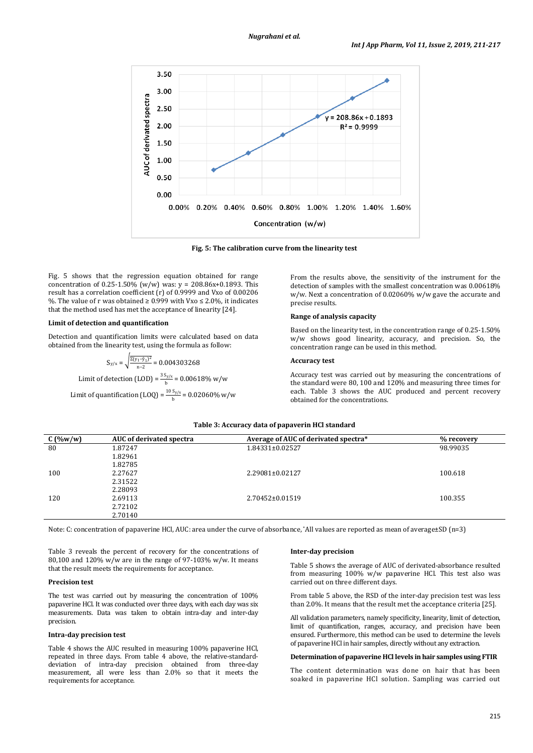

**Fig. 5: The calibration curve from the linearity test**

Fig. 5 shows that the regression equation obtained for range concentration of 0.25-1.50% (w/w) was:  $y = 208.86x + 0.1893$ . This result has a correlation coefficient (r) of 0.9999 and Vxo of 0.00206 %. The value of r was obtained  $\geq 0.999$  with Vxo  $\leq 2.0$ %, it indicates that the method used has met the acceptance of linearity [24].

#### **Limit of detection and quantification**

Detection and quantification limits were calculated based on data obtained from the linearity test, using the formula as follow:

> $S_{y/x} = \sqrt{\frac{\Sigma(y_1 - \hat{y}_1)^2}{n-2}} = 0.004303268$ Limit of detection (LOD) =  $\frac{3 \text{ S}_{y/x}}{b}$  = 0.00618% w/w Limit of quantification (LOQ) =  $\frac{10 \text{ S}_{y/x}}{b}$  = 0.02060% w/w

From the results above, the sensitivity of the instrument for the detection of samples with the smallest concentration was 0.00618% w/w. Next a concentration of 0.02060% w/w gave the accurate and precise results.

# **Range of analysis capacity**

Based on the linearity test, in the concentration range of 0.25-1.50% w/w shows good linearity, accuracy, and precision. So, the concentration range can be used in this method.

# **Accuracy test**

Accuracy test was carried out by measuring the concentrations of the standard were 80, 100 and 120% and measuring three times for each. Table 3 shows the AUC produced and percent recovery obtained for the concentrations.

### **Table 3: Accuracy data of papaverin HCl standard**

| $C($ %w/w) | AUC of derivated spectra | Average of AUC of derivated spectra* | % recovery |
|------------|--------------------------|--------------------------------------|------------|
| 80         | 1.87247                  | 1.84331±0.02527                      | 98.99035   |
|            | 1.82961                  |                                      |            |
|            | 1.82785                  |                                      |            |
| 100        | 2.27627                  | 2.29081±0.02127                      | 100.618    |
|            | 2.31522                  |                                      |            |
|            | 2.28093                  |                                      |            |
| 120        | 2.69113                  | 2.70452±0.01519                      | 100.355    |
|            | 2.72102                  |                                      |            |
|            | 2.70140                  |                                      |            |

Note: C: concentration of papaverine HCl, AUC: area under the curve of absorbance, \*All values are reported as mean of average±SD (n=3)

Table 3 reveals the percent of recovery for the concentrations of 80,100 and 120% w/w are in the range of 97-103% w/w. It means that the result meets the requirements for acceptance.

# **Precision test**

The test was carried out by measuring the concentration of 100% papaverine HCl. It was conducted over three days, with each day was six measurements. Data was taken to obtain intra-day and inter-day precision.

### **Intra-day precision test**

Table 4 shows the AUC resulted in measuring 100% papaverine HCl, repeated in three days. From table 4 above, the relative-standarddeviation of intra-day precision obtained from three-day measurement, all were less than 2.0% so that it meets the requirements for acceptance.

#### **Inter-day precision**

Table 5 shows the average of AUC of derivated-absorbance resulted from measuring 100% w/w papaverine HCl. This test also was carried out on three different days.

From table 5 above, the RSD of the inter-day precision test was less than 2.0%. It means that the result met the acceptance criteria [25].

All validation parameters, namely specificity, linearity, limit of detection, limit of quantification, ranges, accuracy, and precision have been ensured. Furthermore, this method can be used to determine the levels of papaverine HCl in hair samples, directly without any extraction.

### **Determination of papaverine HCl levels in hair samples using FTIR**

The content determination was done on hair that has been soaked in papaverine HCl solution. Sampling was carried out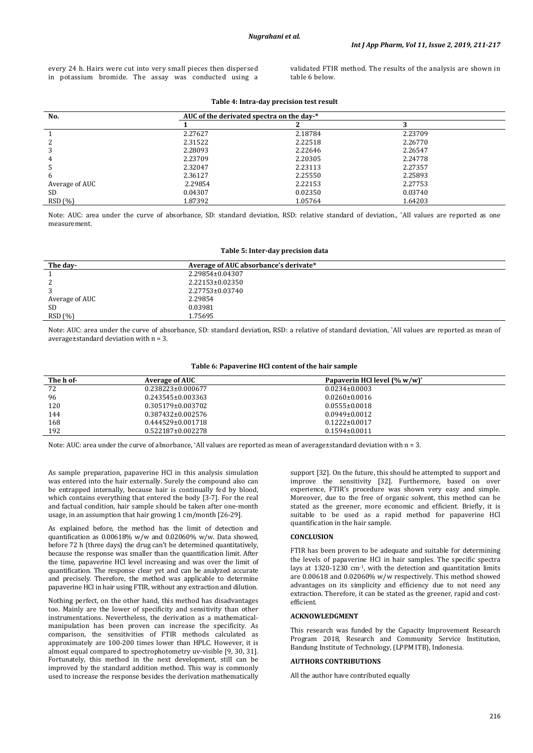every 24 h. Hairs were cut into very small pieces then dispersed in potassium bromide. The assay was conducted using a

validated FTIR method. The results of the analysis are shown in table 6 below.

| No.            | AUC of the derivated spectra on the day-* |         |         |  |
|----------------|-------------------------------------------|---------|---------|--|
|                |                                           |         | n       |  |
|                | 2.27627                                   | 2.18784 | 2.23709 |  |
|                | 2.31522                                   | 2.22518 | 2.26770 |  |
|                | 2.28093                                   | 2.22646 | 2.26547 |  |
|                | 2.23709                                   | 2.20305 | 2.24778 |  |
|                | 2.32047                                   | 2.23113 | 2.27357 |  |
| h              | 2.36127                                   | 2.25550 | 2.25893 |  |
| Average of AUC | 2.29854                                   | 2.22153 | 2.27753 |  |
| <b>SD</b>      | 0.04307                                   | 0.02350 | 0.03740 |  |
| RSD(%)         | 1.87392                                   | 1.05764 | 1.64203 |  |

**Table 4: Intra-day precision test result**

Note: AUC: area under the curve of absorbance, SD: standard deviation, RSD: relative standard of deviation., \*All values are reported as one measurement.

#### **Table 5: Inter-day precision data**

| The day-       | Average of AUC absorbance's derivate* |  |
|----------------|---------------------------------------|--|
|                | 2.29854±0.04307                       |  |
| ▵              | 2.22153±0.02350                       |  |
|                | 2.27753±0.03740                       |  |
| Average of AUC | 2.29854                               |  |
| <b>SD</b>      | 0.03981                               |  |
| RSD(%)         | 1.75695                               |  |

Note: AUC: area under the curve of absorbance, SD: standard deviation, RSD: a relative of standard deviation, \*All values are reported as mean of average±standard deviation with n = 3.

### **Table 6: Papaverine HCl content of the hair sample**

| The h of- | <b>Average of AUC</b> | Papaverin HCl level (% w/w) <sup>*</sup> |  |
|-----------|-----------------------|------------------------------------------|--|
| 72        | 0.238223±0.000677     | $0.0234 \pm 0.0003$                      |  |
| 96        | 0.243545±0.003363     | $0.0260 \pm 0.0016$                      |  |
| 120       | 0.305179±0.003702     | $0.0555 \pm 0.0018$                      |  |
| 144       | 0.387432±0.002576     | $0.0949 \pm 0.0012$                      |  |
| 168       | 0.444529±0.001718     | $0.1222 \pm 0.0017$                      |  |
| 192       | 0.522187±0.002278     | $0.1594 \pm 0.0011$                      |  |
|           |                       |                                          |  |

Note: AUC: area under the curve of absorbance, \*All values are reported as mean of average±standard deviation with n = 3.

As sample preparation, papaverine HCl in this analysis simulation was entered into the hair externally. Surely the compound also can be entrapped internally, because hair is continually fed by blood, which contains everything that entered the body [3-7]. For the real and factual condition, hair sample should be taken after one-month usage, in an assumption that hair growing 1 cm/month [26-29].

As explained before, the method has the limit of detection and quantification as 0.00618% w/w and 0.02060% w/w. Data showed, before 72 h (three days) the drug can't be determined quantitatively, because the response was smaller than the quantification limit. After the time, papaverine HCl level increasing and was over the limit of quantification. The response clear yet and can be analyzed accurate and precisely. Therefore, the method was applicable to determine papaverine HCl in hair using FTIR, without any extraction and dilution.

Nothing perfect, on the other hand, this method has disadvantages too. Mainly are the lower of specificity and sensitivity than other instrumentations. Nevertheless, the derivation as a mathematicalmanipulation has been proven can increase the specificity. As comparison, the sensitivities of FTIR methods calculated as approximately are 100-200 times lower than HPLC. However, it is almost equal compared to spectrophotometry uv-visible [9, 30, 31]. Fortunately, this method in the next development, still can be improved by the standard addition method. This way is commonly used to increase the response besides the derivation mathematically support [32]. On the future, this should be attempted to support and improve the sensitivity [32]. Furthermore, based on over experience, FTIR's procedure was shown very easy and simple. Moreover, due to the free of organic solvent, this method can be stated as the greener, more economic and efficient. Briefly, it is suitable to be used as a rapid method for papaverine HCl quantification in the hair sample.

## **CONCLUSION**

FTIR has been proven to be adequate and suitable for determining the levels of papaverine HCl in hair samples. The specific spectra lays at 1320-1230 cm-1 , with the detection and quantitation limits are 0.00618 and 0.02060% w/w respectively. This method showed advantages on its simplicity and efficiency due to not need any extraction. Therefore, it can be stated as the greener, rapid and costefficient.

## **ACKNOWLEDGMENT**

This research was funded by the Capacity Improvement Research Program 2018, Research and Community Service Institution, Bandung Institute of Technology, (LPPM ITB), Indonesia.

# **AUTHORS CONTRIBUTIONS**

All the author have contributed equally